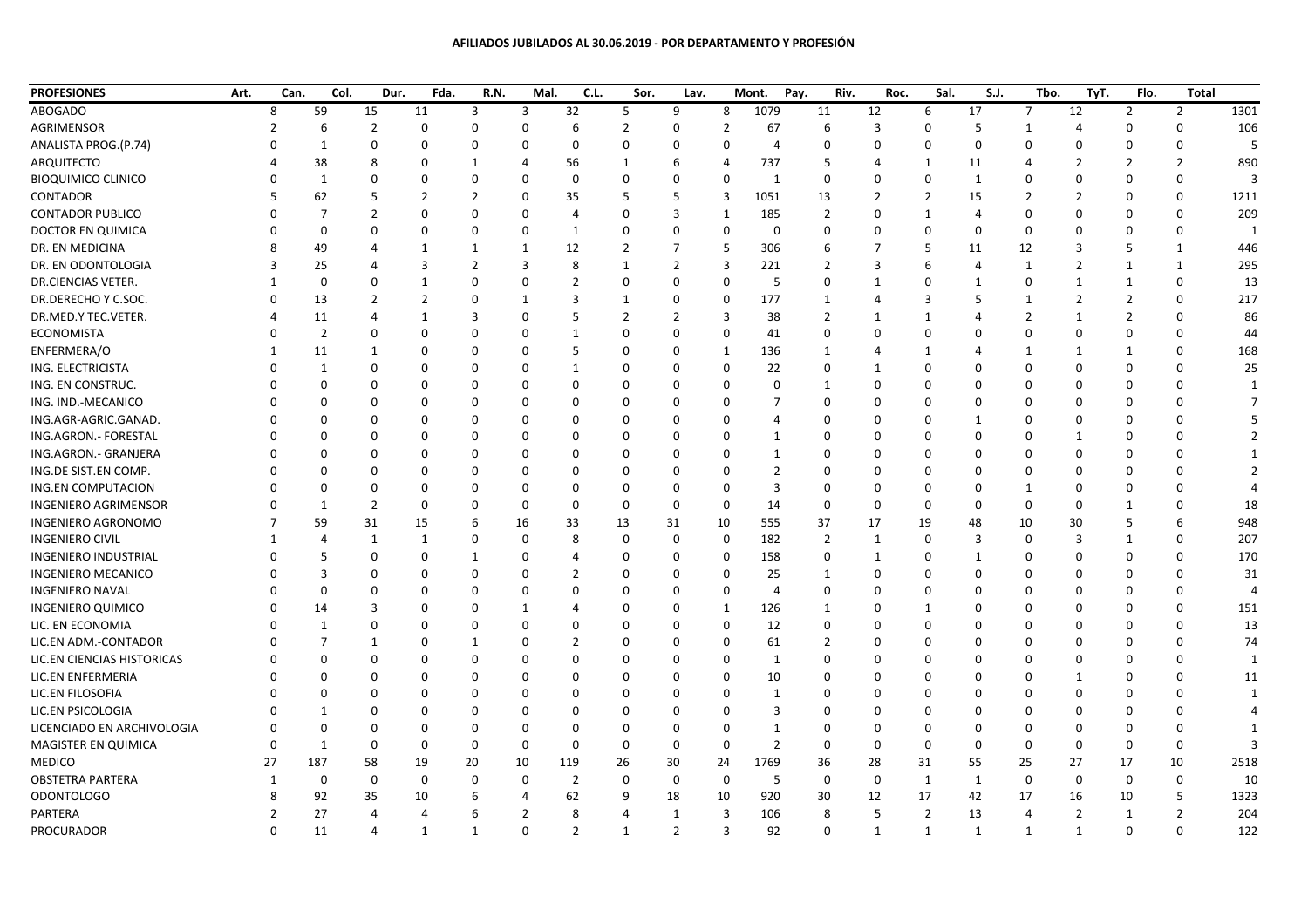| <b>PROFESIONES</b>          | Art. | Can. | Col. | Dur. | Fda.         | R.N.         | Mal.     | C.L.     | Sor.     | Lav.     |             | Pay.<br>Mont. | Riv. | Roc. | Sal.           | S.J.     | Tbo. | TyT.     | Flo.           | <b>Total</b>   |      |
|-----------------------------|------|------|------|------|--------------|--------------|----------|----------|----------|----------|-------------|---------------|------|------|----------------|----------|------|----------|----------------|----------------|------|
| ABOGADO                     |      |      | 59   | 15   | 11           | 3            | 3        | 32       | 5.       | 9        | 8           | 1079          | 11   | 12   | 6              | 17       | 7    | 12       | $\overline{2}$ | $\overline{2}$ | 1301 |
| <b>AGRIMENSOR</b>           |      |      |      |      |              |              |          |          |          |          |             | 67            |      |      |                |          |      |          |                |                | 106  |
| ANALISTA PROG.(P.74)        |      |      |      |      |              |              |          |          |          |          |             |               |      |      |                |          |      |          |                |                |      |
| <b>ARQUITECTO</b>           |      |      | 38   |      |              |              |          | 56       |          |          |             | 737           |      |      |                | 11       |      |          |                |                | 890  |
| <b>BIOQUIMICO CLINICO</b>   |      |      |      |      |              |              |          |          |          |          |             |               |      |      |                |          |      |          |                |                |      |
| CONTADOR                    |      |      | 62   |      |              |              |          | 35       |          |          | 3           | 1051          | 13   |      |                | 15       |      |          |                |                | 1211 |
| <b>CONTADOR PUBLICO</b>     |      |      |      |      |              |              |          |          |          |          |             | 185           |      |      |                |          |      |          |                |                | 209  |
| DOCTOR EN QUIMICA           |      |      |      |      |              |              |          |          |          |          | 0           |               |      |      |                |          |      |          |                |                |      |
| DR. EN MEDICINA             |      |      | 49   |      |              |              |          | 12       |          |          |             | 306           |      |      |                | 11       | 12   |          |                |                | 446  |
| DR. EN ODONTOLOGIA          |      |      | 25   |      |              |              |          |          |          |          |             | 221           |      |      |                |          |      |          |                |                | 295  |
| DR.CIENCIAS VETER.          |      |      |      |      |              |              |          |          |          |          | n           |               |      |      |                |          |      |          |                |                | 13   |
| DR.DERECHO Y C.SOC.         |      |      | 13   |      |              |              |          |          |          |          |             | 177           |      |      |                |          |      |          |                |                | 217  |
| DR.MED.Y TEC.VETER.         |      |      | 11   |      |              |              |          |          |          |          |             | 38            |      |      |                |          |      |          |                |                | 86   |
| <b>ECONOMISTA</b>           |      |      |      |      |              |              |          |          |          |          |             | 41            |      |      |                |          |      |          |                |                | 44   |
| ENFERMERA/O                 |      |      |      |      |              | <sup>0</sup> |          |          |          |          |             | 136           |      |      |                |          |      |          |                |                | 168  |
| ING. ELECTRICISTA           |      |      |      |      |              |              |          |          |          |          |             | 22            |      |      |                |          |      |          |                |                | 25   |
| ING. EN CONSTRUC.           |      |      |      |      |              |              |          |          |          |          |             |               |      |      |                |          |      |          |                |                |      |
| ING. IND.-MECANICO          |      |      |      |      |              |              |          |          |          |          |             |               |      |      |                |          |      |          |                |                |      |
| ING.AGR-AGRIC.GANAD.        |      |      |      |      |              |              |          |          |          |          |             |               |      |      |                |          |      |          |                |                |      |
| ING.AGRON.- FORESTAL        |      |      |      |      |              |              |          |          |          |          |             |               |      |      |                |          |      |          |                |                |      |
| ING.AGRON.- GRANJERA        |      |      |      |      |              |              |          |          |          |          |             |               |      |      |                |          |      |          |                |                |      |
| ING.DE SIST.EN COMP.        |      |      |      |      |              |              |          |          |          |          |             |               |      |      |                |          |      |          |                |                |      |
| <b>ING.EN COMPUTACION</b>   |      |      |      |      |              |              |          |          |          |          |             |               |      |      |                |          |      |          |                |                |      |
| <b>INGENIERO AGRIMENSOR</b> |      |      |      |      |              |              |          |          |          |          | 0           | 14            |      |      |                |          |      |          |                |                | 18   |
| <b>INGENIERO AGRONOMO</b>   |      |      | 59   | 31   | 15           |              | 16       | 33       | 13       | 31       | 10          | 555           | 37   | 17   | 19             | 48       | 10   | 30       |                |                | 948  |
| <b>INGENIERO CIVIL</b>      |      |      |      |      |              |              |          |          |          |          | 0           | 182           |      |      |                |          |      |          |                |                | 207  |
| <b>INGENIERO INDUSTRIAL</b> |      |      |      |      |              |              |          |          |          |          | 0           | 158           |      |      |                |          |      |          |                |                | 170  |
| <b>INGENIERO MECANICO</b>   |      |      |      |      |              |              |          |          |          |          |             | 25            |      |      |                |          |      |          |                |                | 31   |
| <b>INGENIERO NAVAL</b>      |      |      |      |      |              |              |          |          |          |          |             |               |      |      |                |          |      |          |                |                |      |
| <b>INGENIERO QUIMICO</b>    |      |      | 14   |      | <sup>n</sup> | $\Omega$     |          |          |          | $\Omega$ | -1          | 126           |      | n    |                | $\Omega$ | ∩    | $\Omega$ | $\Omega$       |                | 151  |
| LIC. EN ECONOMIA            |      |      |      | 0    | 0            | 0            |          | n        | n        | 0        | 0           | 12            | 0    |      | 0              | $\Omega$ |      | n        | $\Omega$       | $\Omega$       | 13   |
| LIC.EN ADM.-CONTADOR        |      |      |      |      | 0            |              |          |          | 0        | 0        | 0           | 61            |      |      | 0              | 0        |      |          |                | <sup>0</sup>   | 74   |
| LIC.EN CIENCIAS HISTORICAS  |      |      |      |      |              |              |          |          |          |          | 0           |               |      |      |                |          |      |          |                |                |      |
| LIC.EN ENFERMERIA           |      |      |      | O    | 0            | 0            |          | $\Omega$ | n        |          | 0           | 10            |      |      | 0              | 0        |      |          | 0              | $\Omega$       | 11   |
| LIC.EN FILOSOFIA            |      |      |      |      | 0            | <sup>0</sup> |          |          |          |          | $\Omega$    |               |      |      |                |          |      |          |                | O              |      |
| LIC.EN PSICOLOGIA           |      |      |      | 0    | 0            | 0            |          |          | 0        |          | 0           |               |      |      | 0              |          |      |          |                |                |      |
| LICENCIADO EN ARCHIVOLOGIA  |      |      |      | 0    | 0            | <sup>0</sup> |          | n        | $\Omega$ |          | 0           |               |      |      |                |          |      |          |                |                |      |
| MAGISTER EN QUIMICA         |      |      |      | 0    | 0            | 0            |          | 0        | 0        | $\Omega$ | 0           |               | 0    |      | 0              | 0        |      | n        | 0              | $\mathbf{0}$   |      |
| <b>MEDICO</b>               |      | 27   | 187  | 58   | 19           | 20           | 10       | 119      | 26       | 30       | 24          | 1769          | 36   | 28   | 31             | 55       | 25   | 27       | 17             | 10             | 2518 |
| <b>OBSTETRA PARTERA</b>     |      |      | 0    | 0    | 0            | 0            | $\Omega$ | 2        | $\Omega$ | 0        | $\mathbf 0$ | -5            | 0    | 0    | -1             |          | 0    | 0        | 0              | $\mathbf 0$    | 10   |
| <b>ODONTOLOGO</b>           |      |      | 92   | 35   | 10           | <sub>b</sub> |          | 62       | 9        | 18       | 10          | 920           | 30   | 12   | 17             | 42       | 17   | 16       | 10             | 5              | 1323 |
| PARTERA                     |      |      | 27   |      |              |              | 2        | 8        |          |          | 3           | 106           | 8    |      | $\overline{2}$ | 13       | 4    | 2        |                | $\overline{2}$ | 204  |
| PROCURADOR                  |      | 0    | 11   |      | 1            | 1            | 0        | 2        | 1        | 2        | 3           | 92            | 0    |      | -1             | 1        | 1    | -1       | 0              | $\mathbf 0$    | 122  |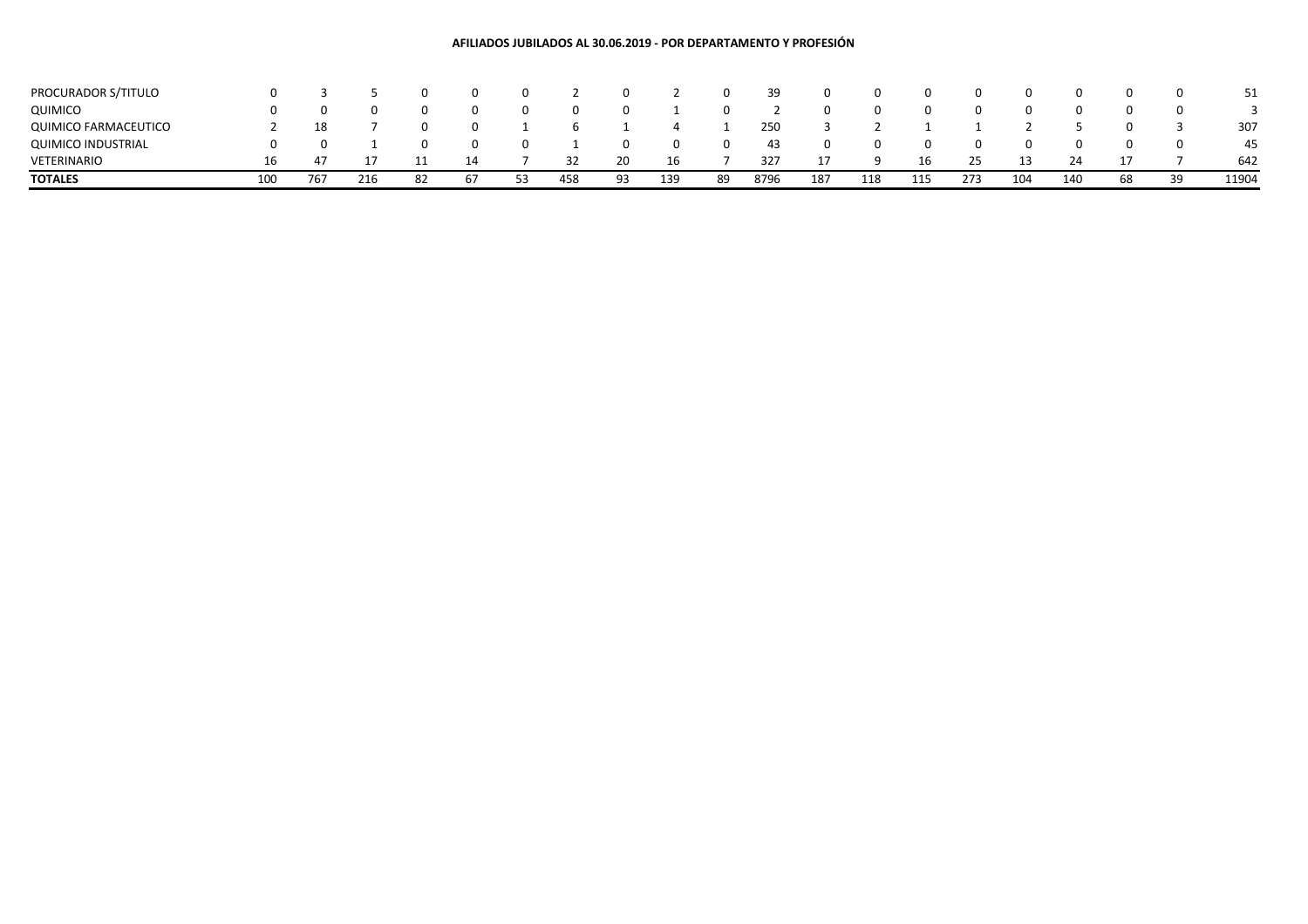## **AFILIADOS JUBILADOS AL 30.06.2019 - POR DEPARTAMENTO Y PROFESIÓN**

| PROCURADOR S/TITULO         |     |     |     |          |    |    |     |     |     |    | 39   | 0   |     |     |     |     | $\Omega$ |    | 0        |       |
|-----------------------------|-----|-----|-----|----------|----|----|-----|-----|-----|----|------|-----|-----|-----|-----|-----|----------|----|----------|-------|
| <b>QUIMICO</b>              |     |     |     | $\Omega$ |    |    |     |     |     |    |      | 0   |     |     |     |     | $\Omega$ |    |          |       |
| <b>QUIMICO FARMACEUTICO</b> |     | 18  |     | $\Omega$ |    |    |     |     |     |    | 250  |     |     |     |     |     |          |    |          | 307   |
| <b>QUIMICO INDUSTRIAL</b>   |     |     |     | $\Omega$ |    |    |     |     | 0   |    | 43   | 0   |     |     |     |     | $\Omega$ |    | $\Omega$ | 45    |
| VETERINARIO                 | 16  | 47  |     |          | 14 |    | 32  | 20  | 16  |    | 327  | 17  |     | 16  | 25  | 13  |          |    |          | 642   |
| <b>TOTALES</b>              | 100 | 767 | 216 | 82       | 67 | 53 | 458 | 93. | 139 | 89 | 8796 | 187 | 118 | 115 | 273 | 104 | 140      | 68 | 39       | 11904 |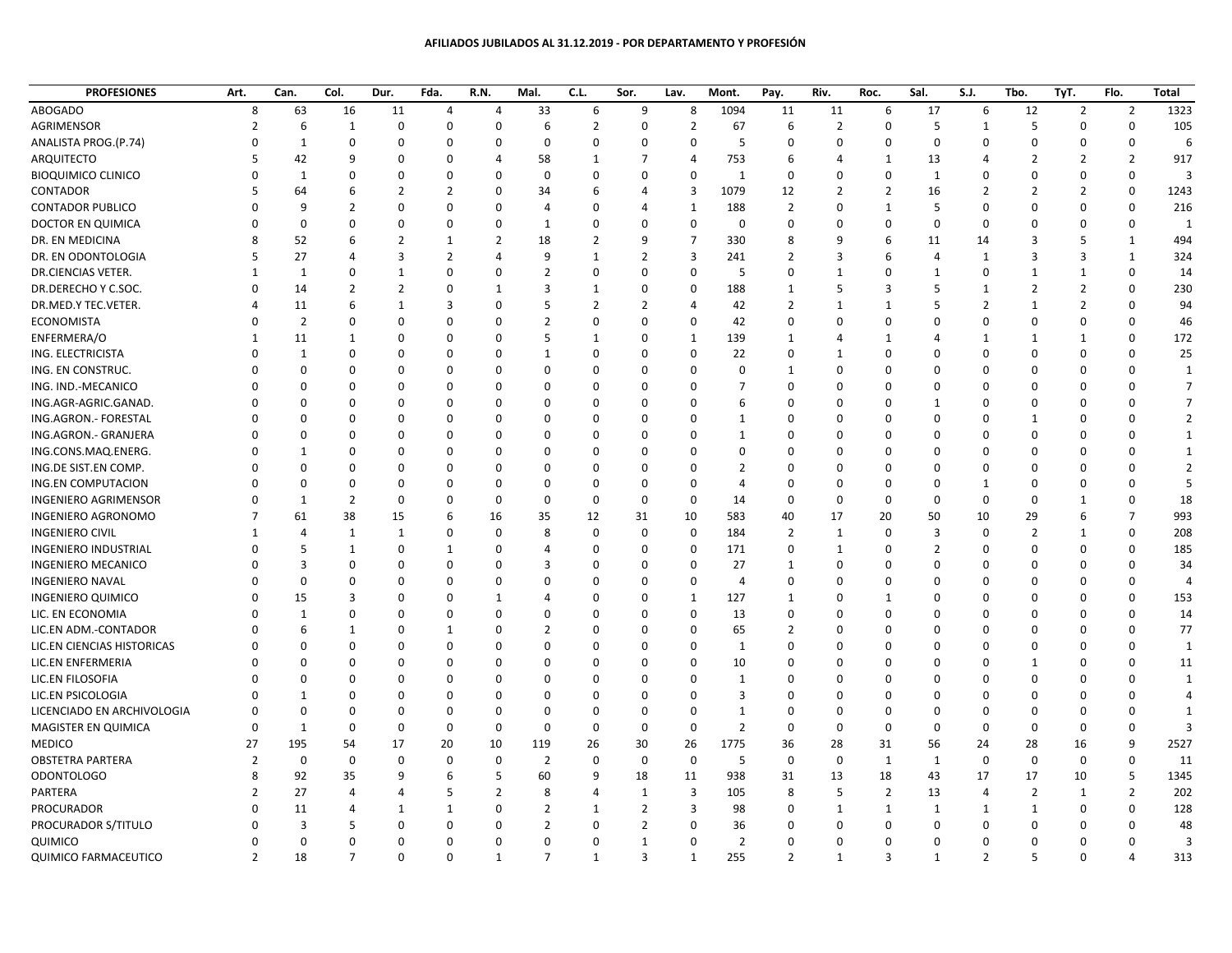## **AFILIADOS JUBILADOS AL 31.12.2019 - POR DEPARTAMENTO Y PROFESIÓN**

| <b>PROFESIONES</b>          | Art.           | Can.           | Col.           | Dur.           | Fda.           | R.N.           | Mal.           | C.L.           | Sor.           | Lav.           | Mont.          | Pay.           | Riv.           | Roc.           | Sal.           | S.J.           | Tbo.           | TyT.           | Flo.           | <b>Total</b>   |
|-----------------------------|----------------|----------------|----------------|----------------|----------------|----------------|----------------|----------------|----------------|----------------|----------------|----------------|----------------|----------------|----------------|----------------|----------------|----------------|----------------|----------------|
| <b>ABOGADO</b>              | 8              | 63             | 16             | 11             | $\overline{4}$ | $\overline{4}$ | 33             | 6              | 9              | 8              | 1094           | 11             | 11             | 6              | 17             | 6              | 12             | $\overline{2}$ | $\overline{2}$ | 1323           |
| AGRIMENSOR                  | $\overline{z}$ | 6              | $\mathbf{1}$   | $\Omega$       | $\mathbf 0$    | $\Omega$       | 6              | $\overline{2}$ | 0              | $\overline{2}$ | 67             | 6              | $\overline{2}$ | $\Omega$       | 5              | 1              | 5              | $\Omega$       | $\mathbf 0$    | 105            |
| ANALISTA PROG.(P.74)        | $\Omega$       | $\mathbf{1}$   | $\mathbf 0$    | $\Omega$       | $\Omega$       | $\Omega$       | $\mathbf 0$    | $\Omega$       | $\Omega$       | $\mathbf 0$    | 5              | $\mathbf 0$    | 0              | $\Omega$       | $\Omega$       | $\Omega$       | $\Omega$       | $\Omega$       | $\mathbf 0$    | 6              |
| ARQUITECTO                  | 5              | 42             | 9              | $\Omega$       | $\Omega$       | $\overline{4}$ | 58             | 1              | 7              | $\overline{4}$ | 753            | 6              | 4              | 1              | 13             | Δ              | $\overline{2}$ | $\overline{2}$ | $\overline{2}$ | 917            |
| <b>BIOQUIMICO CLINICO</b>   |                | $\mathbf{1}$   | $\Omega$       | 0              | $\Omega$       | $\Omega$       | $\mathbf 0$    | $\Omega$       | O              | $\mathbf 0$    | 1              | $\mathbf 0$    | 0              | $\mathbf 0$    | 1              | ŋ              | 0              | $\Omega$       | $\mathbf 0$    | $\overline{3}$ |
| CONTADOR                    |                | 64             | 6              | $\overline{2}$ | $\overline{2}$ | $\mathbf 0$    | 34             | 6              | 4              | 3              | 1079           | 12             | $\overline{2}$ | $\overline{2}$ | 16             | $\overline{2}$ | $\overline{2}$ | $\overline{2}$ | $\mathbf 0$    | 1243           |
| <b>CONTADOR PUBLICO</b>     | $\Omega$       | 9              | $\overline{2}$ | $\Omega$       | $\Omega$       | $\mathbf 0$    | 4              | $\Omega$       | 4              | $\mathbf{1}$   | 188            | $\overline{2}$ | 0              | $\mathbf{1}$   | 5              | $\Omega$       | $\Omega$       | $\mathbf 0$    | $\mathbf 0$    | 216            |
| DOCTOR EN QUIMICA           | $\Omega$       | $\mathbf 0$    | $\Omega$       | 0              | $\Omega$       | $\mathbf 0$    | 1              | $\Omega$       | 0              | $\mathbf 0$    | $\mathbf 0$    | $\mathbf 0$    | 0              | $\Omega$       | $\Omega$       | $\Omega$       | 0              | $\Omega$       | $\mathbf 0$    | 1              |
| DR. EN MEDICINA             |                | 52             | 6              | $\overline{2}$ | 1              | $\overline{2}$ | 18             | $\overline{2}$ | 9              | $\overline{7}$ | 330            | 8              | 9              | 6              | 11             | 14             | 3              | 5              | $\mathbf{1}$   | 494            |
| DR. EN ODONTOLOGIA          | 5              | 27             | $\overline{4}$ | $\overline{3}$ | $\overline{2}$ | $\overline{4}$ | $\mathbf{q}$   | $\mathbf{1}$   | $\overline{2}$ | 3              | 241            | $\overline{2}$ | 3              | 6              | $\overline{4}$ | 1              | 3              | 3              | $\mathbf{1}$   | 324            |
| DR.CIENCIAS VETER.          | -1             | $\mathbf{1}$   | 0              | $\mathbf{1}$   | 0              | $\mathbf 0$    | 2              | 0              | 0              | $\mathbf 0$    | 5              | 0              | $\mathbf 1$    | $\Omega$       | $\mathbf{1}$   | 0              | 1              | 1              | $\mathbf 0$    | 14             |
| DR.DERECHO Y C.SOC.         | $\Omega$       | 14             | $\overline{2}$ | $\overline{2}$ | 0              | $\mathbf{1}$   | 3              | 1              | 0              | $\mathbf 0$    | 188            | $\mathbf{1}$   | 5              | 3              | 5              | $\mathbf{1}$   | $\overline{2}$ | $\overline{2}$ | 0              | 230            |
| DR.MED.Y TEC.VETER.         | 4              | 11             | 6              | 1              | 3              | $\mathbf 0$    | 5              | $\overline{2}$ | $\overline{2}$ | $\overline{4}$ | 42             | $\overline{2}$ | $\mathbf{1}$   | $\mathbf{1}$   | 5              | $\overline{2}$ | $\mathbf{1}$   | $\overline{2}$ | $\mathbf 0$    | 94             |
| ECONOMISTA                  |                | $\overline{2}$ | $\Omega$       | $\Omega$       | $\Omega$       | $\Omega$       | $\overline{2}$ | $\Omega$       | $\Omega$       | $\mathbf 0$    | 42             | $\Omega$       | 0              | $\Omega$       | $\Omega$       | $\Omega$       | 0              | $\Omega$       | $\Omega$       | 46             |
| ENFERMERA/O                 | -1             | 11             | 1              | O              | $\Omega$       | $\Omega$       | 5              | 1              | <sup>0</sup>   | 1              | 139            | 1              | 4              | $\mathbf{1}$   | 4              | -1             | 1              | 1              | $\Omega$       | 172            |
| ING. ELECTRICISTA           | n              | $\mathbf{1}$   | $\Omega$       | $\Omega$       | $\Omega$       | $\Omega$       | -1             | $\Omega$       | $\Omega$       | $\mathbf 0$    | 22             | $\Omega$       | $\mathbf{1}$   | $\Omega$       | <sup>0</sup>   | $\Omega$       | $\Omega$       | $\Omega$       | $\Omega$       | 25             |
| ING. EN CONSTRUC.           |                | $\Omega$       | $\Omega$       | $\Omega$       | $\Omega$       | $\Omega$       | $\Omega$       | $\Omega$       | <sup>0</sup>   | $\Omega$       | $\Omega$       | $\mathbf{1}$   | $\Omega$       | $\Omega$       | <sup>0</sup>   | n              | $\Omega$       | $\Omega$       | $\Omega$       | 1              |
| ING. IND.-MECANICO          |                | $\mathbf 0$    | 0              | $\mathbf 0$    | 0              | $\mathbf 0$    | 0              | $\Omega$       | 0              | $\mathbf 0$    | $\overline{7}$ | $\mathbf 0$    | 0              | $\Omega$       | $\Omega$       | ŋ              | 0              | 0              | $\Omega$       | $\overline{7}$ |
| ING.AGR-AGRIC.GANAD.        |                | $\Omega$       | $\Omega$       | 0              | 0              | $\mathbf 0$    | $\Omega$       | $\Omega$       | $\Omega$       | $\mathbf 0$    | 6              | $\Omega$       | 0              | $\Omega$       | 1              | O              | 0              | $\Omega$       | $\Omega$       | $\overline{7}$ |
| ING.AGRON.- FORESTAL        |                | $\Omega$       | $\Omega$       | $\Omega$       | $\Omega$       | $\mathbf 0$    | O              | $\Omega$       | 0              | $\mathbf 0$    | $\mathbf{1}$   | $\Omega$       | 0              | $\Omega$       | 0              | $\Omega$       | $\mathbf{1}$   | $\Omega$       | $\Omega$       | $\overline{2}$ |
| ING.AGRON.- GRANJERA        |                | 0              | $\Omega$       | 0              | $\Omega$       | $\Omega$       | n              | $\Omega$       | <sup>0</sup>   | $\mathbf 0$    | 1              | 0              | 0              | $\Omega$       | <sup>0</sup>   | $\Omega$       | 0              | $\Omega$       | $\Omega$       | 1              |
| ING.CONS.MAQ.ENERG.         |                | 1              | $\Omega$       | $\Omega$       | $\Omega$       | $\Omega$       | $\Omega$       | $\Omega$       | $\Omega$       | $\mathbf 0$    | 0              | 0              | 0              | $\Omega$       | $\Omega$       | n              | 0              | $\Omega$       | $\Omega$       | 1              |
| ING.DE SIST.EN COMP.        |                | $\Omega$       | $\Omega$       | 0              | $\mathbf 0$    | $\mathbf 0$    | $\Omega$       | $\Omega$       | 0              | $\Omega$       | $\overline{2}$ | 0              | 0              | $\Omega$       | $\Omega$       | ŋ              | $\Omega$       | $\Omega$       | $\Omega$       | 2              |
| ING.EN COMPUTACION          |                | $\mathbf 0$    | $\mathbf 0$    | 0              | 0              | $\mathbf 0$    | $\Omega$       | 0              | 0              | $\mathbf 0$    | 4              | $\Omega$       | 0              | $\Omega$       | 0              | -1             | 0              | $\Omega$       | $\Omega$       | 5              |
| <b>INGENIERO AGRIMENSOR</b> | $\Omega$       | $\mathbf{1}$   | $\overline{2}$ | $\mathbf 0$    | 0              | $\mathbf 0$    | $\Omega$       | 0              | 0              | $\mathbf 0$    | 14             | 0              | 0              | $\Omega$       | $\mathbf 0$    | $\mathbf 0$    | $\Omega$       | 1              | $\mathbf 0$    | 18             |
| INGENIERO AGRONOMO          |                | 61             | 38             | 15             | 6              | 16             | 35             | 12             | 31             | 10             | 583            | 40             | 17             | 20             | 50             | 10             | 29             | 6              | $\overline{7}$ | 993            |
| <b>INGENIERO CIVIL</b>      |                | $\overline{4}$ | $\mathbf{1}$   | $\mathbf{1}$   | $\Omega$       | $\mathbf 0$    | 8              | $\mathbf 0$    | $\mathbf 0$    | $\mathbf 0$    | 184            | $\overline{2}$ | $\mathbf{1}$   | $\Omega$       | 3              | $\Omega$       | $\overline{2}$ | 1              | $\Omega$       | 208            |
| <b>INGENIERO INDUSTRIAL</b> |                | 5              | $\mathbf{1}$   | 0              | $\mathbf{1}$   | 0              | Δ              | $\Omega$       | $\Omega$       | $\mathbf 0$    | 171            | $\mathbf 0$    | $\mathbf{1}$   | $\Omega$       | $\overline{2}$ | n              | $\Omega$       | $\Omega$       | 0              | 185            |
| <b>INGENIERO MECANICO</b>   | n              | $\overline{3}$ | $\Omega$       | $\Omega$       | $\Omega$       | $\mathbf 0$    | 3              | $\Omega$       | 0              | 0              | 27             | $\mathbf{1}$   | 0              | $\Omega$       | $\Omega$       | n              | 0              | $\Omega$       | $\mathbf 0$    | 34             |
| <b>INGENIERO NAVAL</b>      | n              | $\mathbf 0$    | $\Omega$       | $\Omega$       | $\Omega$       | $\mathbf 0$    | n              | $\Omega$       | $\Omega$       | $\mathbf 0$    | $\overline{4}$ | 0              | 0              | $\Omega$       | $\Omega$       | ŋ              | $\Omega$       | $\Omega$       | 0              | $\overline{4}$ |
| <b>INGENIERO QUIMICO</b>    |                | 15             | 3              | $\mathbf 0$    | 0              | 1              | 4              | $\Omega$       | 0              | $\mathbf{1}$   | 127            | $\mathbf{1}$   | 0              | $\mathbf{1}$   | $\Omega$       | O              | 0              | $\Omega$       | 0              | 153            |
| LIC. EN ECONOMIA            |                | $\mathbf{1}$   | $\Omega$       | 0              | $\mathbf 0$    | $\mathbf 0$    | 0              | $\Omega$       | $\Omega$       | $\mathbf 0$    | 13             | 0              | 0              | $\Omega$       | 0              |                | 0              | $\Omega$       | $\Omega$       | 14             |
| LIC.EN ADM.-CONTADOR        | n              | 6              | $\mathbf{1}$   | 0              | $\mathbf{1}$   | $\Omega$       | $\overline{2}$ | $\Omega$       | 0              | $\mathbf 0$    | 65             | $\overline{2}$ | 0              | $\Omega$       | $\Omega$       | n              | $\Omega$       | $\Omega$       | $\Omega$       | 77             |
| LIC.EN CIENCIAS HISTORICAS  | n              | 0              | 0              | 0              | 0              | 0              | O              | $\Omega$       | 0              | $\mathbf 0$    | $\mathbf{1}$   | 0              | 0              | $\Omega$       | 0              | ŋ              | 0              | $\Omega$       | $\Omega$       | 1              |
| LIC.EN ENFERMERIA           |                | 0              | $\Omega$       | 0              | $\Omega$       | 0              | O              | $\Omega$       | 0              | $\mathbf 0$    | 10             | $\Omega$       | 0              | $\Omega$       | $\Omega$       | O              | $\mathbf{1}$   | $\Omega$       | $\mathbf 0$    | 11             |
| LIC.EN FILOSOFIA            | $\Omega$       | 0              | $\Omega$       | 0              | $\mathbf 0$    | $\mathbf 0$    | n              | $\Omega$       | 0              | $\Omega$       | 1              | $\Omega$       | 0              | $\Omega$       | 0              |                | 0              | $\Omega$       | $\Omega$       | $\mathbf{1}$   |
| LIC.EN PSICOLOGIA           |                | $\mathbf{1}$   | $\Omega$       | 0              | $\Omega$       | $\Omega$       | $\Omega$       | $\Omega$       | $\Omega$       | $\Omega$       | 3              | $\Omega$       | $\Omega$       | $\Omega$       | $\Omega$       | O              | $\Omega$       | $\Omega$       | $\Omega$       | 4              |
| LICENCIADO EN ARCHIVOLOGIA  | $\Omega$       | $\Omega$       | 0              | 0              | $\Omega$       | $\mathbf 0$    | $\Omega$       | $\Omega$       | 0              | $\mathbf 0$    | $\mathbf{1}$   | $\Omega$       | $\Omega$       | $\Omega$       | 0              | ŋ              | 0              | $\Omega$       | $\Omega$       | $\mathbf{1}$   |
| MAGISTER EN QUIMICA         | $\Omega$       | $\mathbf{1}$   | $\mathbf 0$    | $\Omega$       | $\mathbf 0$    | $\mathbf 0$    | $\mathbf 0$    | $\mathbf 0$    | 0              | $\mathbf 0$    | $\overline{2}$ | $\mathbf 0$    | 0              | $\mathbf 0$    | 0              | $\mathbf 0$    | $\mathbf 0$    | $\mathbf 0$    | $\Omega$       |                |
| <b>MEDICO</b>               | 27             | 195            | 54             | 17             | 20             | 10             | 119            | 26             | 30             | 26             | 1775           | 36             | 28             | 31             | 56             | 24             | 28             | 16             | 9              | 2527           |
| <b>OBSTETRA PARTERA</b>     | $\overline{2}$ | $\mathbf 0$    | $\mathbf 0$    | $\Omega$       | $\mathbf 0$    | $\mathbf 0$    | $\overline{2}$ | $\mathbf 0$    | $\mathbf 0$    | $\mathbf 0$    | 5              | $\mathbf 0$    | 0              | 1              | $\mathbf{1}$   | 0              | $\mathbf 0$    | $\mathbf 0$    | $\mathbf 0$    | 11             |
| <b>ODONTOLOGO</b>           | 8              | 92             | 35             | 9              | 6              | 5              | 60             | 9              | 18             | 11             | 938            | 31             | 13             | 18             | 43             | 17             | 17             | 10             | 5              | 1345           |
| PARTERA                     |                | 27             | $\overline{4}$ | 4              | 5              | $\overline{2}$ | 8              | 4              | $\mathbf{1}$   | 3              | 105            | 8              | 5              | $\overline{2}$ | 13             | 4              | $\overline{2}$ | $\mathbf{1}$   | $\overline{2}$ | 202            |
| PROCURADOR                  | $\Omega$       | 11             | 4              | 1              | 1              | $\mathbf 0$    | $\mathcal{P}$  | 1              | $\overline{2}$ | 3              | 98             | $\Omega$       | $\mathbf{1}$   | 1              | 1              | 1              | 1              | 0              | $\mathbf 0$    | 128            |
| PROCURADOR S/TITULO         | $\Omega$       | 3              | 5              | $\mathbf 0$    | 0              | $\mathbf 0$    | 2              | $\Omega$       | $\overline{2}$ | $\mathbf 0$    | 36             | 0              | 0              | $\mathbf 0$    | $\mathbf 0$    | $\Omega$       | 0              | $\Omega$       | $\mathbf 0$    | 48             |
| QUIMICO                     | 0              | $\mathbf 0$    | $\Omega$       | 0              | 0              | $\mathbf 0$    | $\mathbf 0$    | 0              | $\mathbf{1}$   | $\mathbf 0$    | $\overline{2}$ | $\Omega$       | 0              | $\Omega$       | $\mathbf 0$    | $\mathbf 0$    | 0              | $\mathbf 0$    | $\Omega$       | 3              |
| <b>QUIMICO FARMACEUTICO</b> | $\overline{2}$ | 18             | $\overline{7}$ | 0              | $\Omega$       | $\mathbf{1}$   | $\overline{7}$ | $\mathbf{1}$   | 3              | $\mathbf{1}$   | 255            | $\overline{2}$ | $\mathbf{1}$   | 3              | $\mathbf{1}$   | $\overline{2}$ | 5              | $\Omega$       | $\overline{4}$ | 313            |